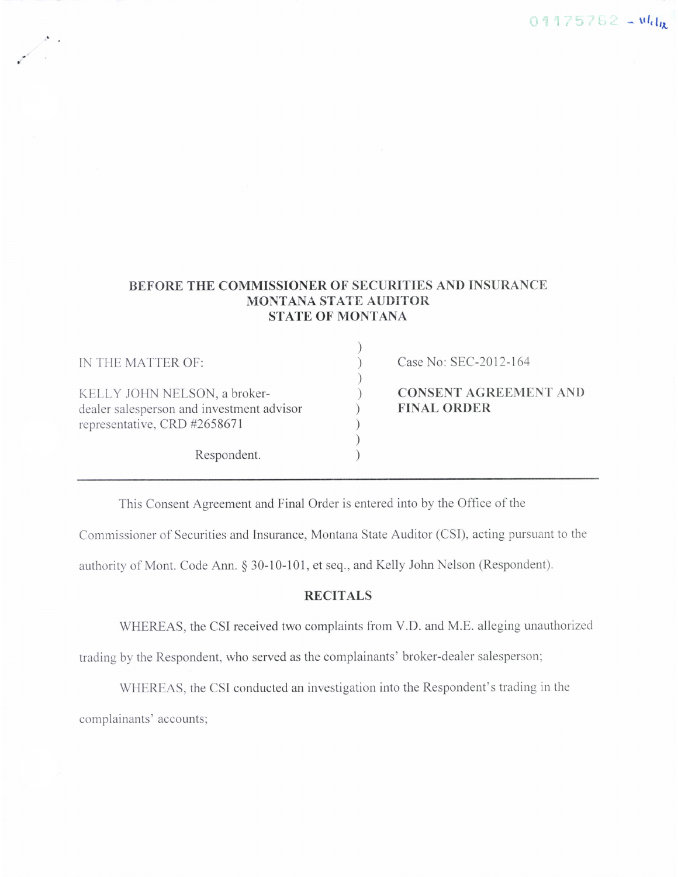# $01175762 - u l_{\text{dR}}$

# BEFORE THE COMMISSIONER OF SECURITIES AND INSURANCE MONTANA STATE AUDITOR STATE OF MONTANA

)r

| IN THE MATTER OF:                                                                                         | Case No: SEC-2012-164                              |
|-----------------------------------------------------------------------------------------------------------|----------------------------------------------------|
| KELLY JOHN NELSON, a broker-<br>dealer salesperson and investment advisor<br>representative, CRD #2658671 | <b>CONSENT AGREEMENT AND</b><br><b>FINAL ORDER</b> |
| Respondent.                                                                                               |                                                    |

This Consent Agreement and Final Order is entered into by the Office of the

Commissioner of Securities and Insurance, Montana State Auditor (CSI), acting pursuant to the

authority of Mont. Code Ann. \$ 30-10-101, et seq., and Kelly John Nelson (Respondent).

### RECITALS

WHEREAS, the CSI received two complaints from V.D. and M.E. alleging unauthorized

trading by the Respondent, who served as the complainants' broker-dealer salesperson;

WHEREAS, the CSI conducted an investigation into the Respondent's trading in the complainants' accounts;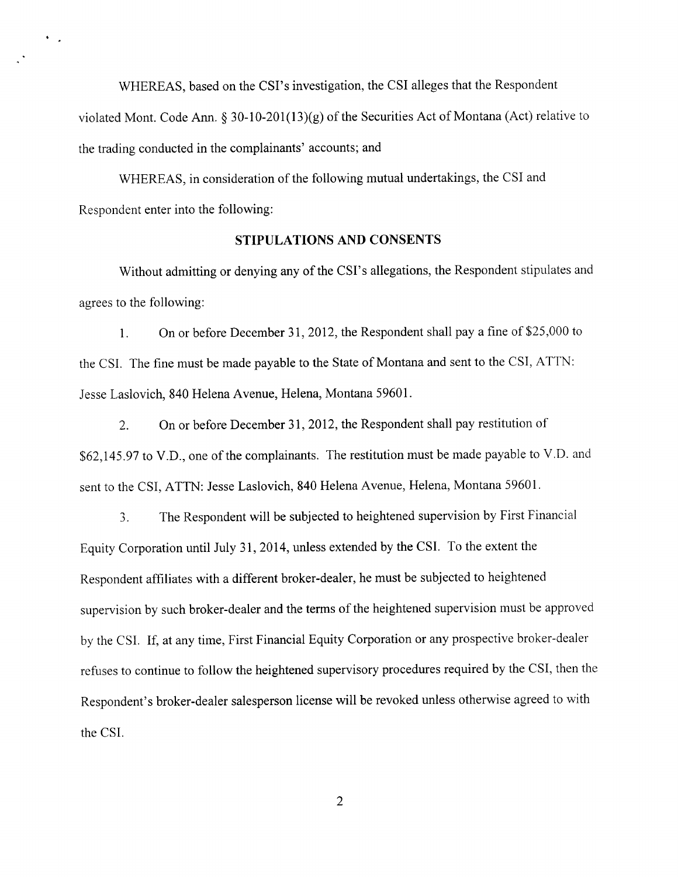WHEREAS, based on the CSI's investigation, the CSI alleges that the Respondent violated Mont. Code Ann. \$ 30-10-201(13)(g) of the Securities Act of Montana (Act) relative to the trading conducted in the complainants' accounts; and

WHEREAS, in consideration of the following mutual undertakings, the CSI and Respondent enter into the following:

 $\bullet$  .  $\bullet$ 

## STIPULATIONS AND CONSENTS

Without admitting or denying any of the CSI's allegations, the Respondent stipulates and agrees to the following:

l. On or before December 31,2012, the Respondent shall pay a fine of \$25,000 to the CSI. The fine must be made payable to the State of Montana and sent to the CSI, ATTN: Jesse Laslovich, 840 Helena Avenue, Helena, Montana 59601.

2. On or before December 31,2012, the Respondent shall pay restitution of \$62,145.97 to V.D., one of the complainants. The restitution must be made payable to V.D. and sent to the CSI, ATTN: Jesse Laslovich, 840 Helena Avenue, Helena, Montana 59601.

3. The Respondent will be subjected to heightened supervision by First Financial Equity Corporation until July 3I,2014, unless extended by the CSI. To the extent the Respondent affiliates with a different broker-dealer, he must be subjected to heightened supervision by such broker-dealer and the terms of the heightened supervision must be approved by the CSI. If, at any time, First Financial Equity Corporation or any prospective broker-dealer refuses to continue to follow the heightened supervisory procedures required by the CSI, then the Respondent's broker-dealer salesperson license will be revoked unless otherwise agreed to with the CSI.

 $\overline{2}$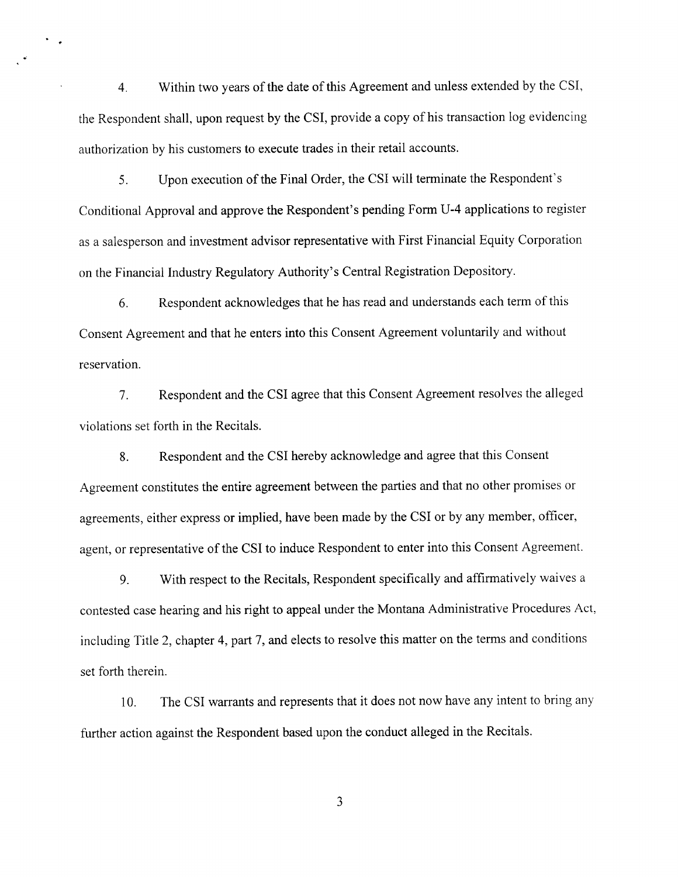4. Within two years of the date of this Agreement and unless extended by the CSI, the Respondent shall, upon request by the CSI, provide a copy of his transaction log evidencing authorization by his customers to execute trades in their retail accounts.

 $\bullet$  $\ddot{\phantom{1}}$ 

> 5. Upon execution of the Final Order, the CSI will terminate the Respondent's Conditional Approval and approve the Respondent's pending Form U-4 applications to register as a salesperson and investment advisor representative with First Financial Equity Corporation on the Financial Industry Regulatory Authority's Central Registration Depository.

6. Respondent acknowledges that he has read and understands each term of this Consent Agreement and that he enters into this Consent Agreement voluntarily and without reservation.

7. Respondent and the CSI agree that this Consent Agreement resolves the alleged violations set forth in the Recitals.

8. Respondent and the CSI hereby acknowledge and agree that this Consent Agreement constitutes the entire agreement between the parties and that no other promises or agreements, either express or implied, have been made by the CSI or by any member, officer, agent, or representative of the CSI to induce Respondent to enter into this Consent Agreement.

9. With respect to the Recitals, Respondent specifically and affirmatively waives <sup>a</sup> contested case hearing and his right to appeal under the Montana Administrative Procedures Act, including Title 2, chapter 4, part 7, and elects to resolve this matter on the terms and conditions set forth therein.

10. The CSI warrants and represents that it does not now have any intent to bring any further action against the Respondent based upon the conduct alleged in the Recitals.

 $\mathfrak{Z}$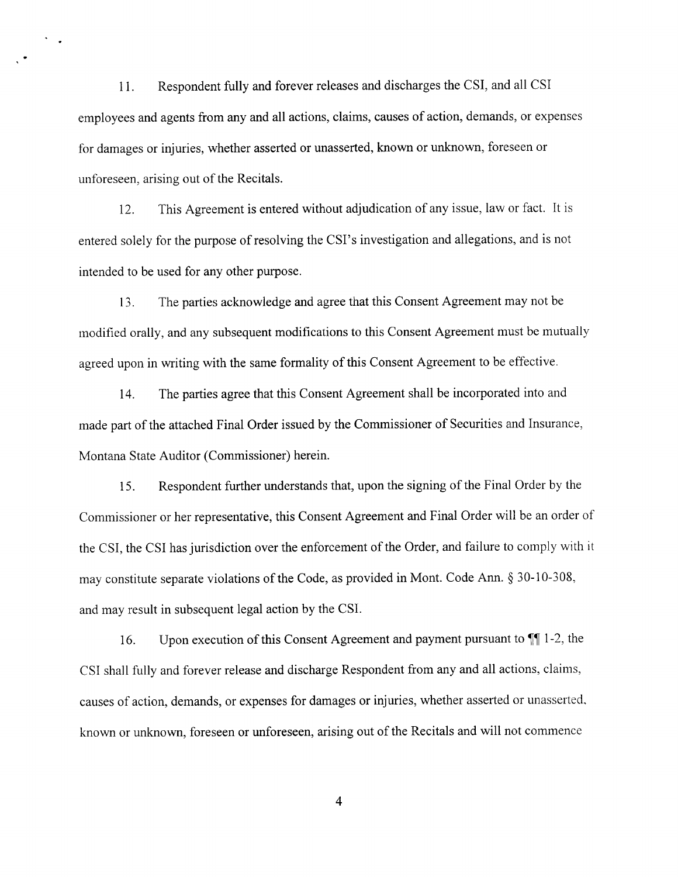<sup>1</sup>1. Respondent fully and forever releases and discharges the CSI, and all CSI employees and agents from any and all actions, claims, causes of action, demands, or expenses for damages or injuries, whether asserted or unasserted, known or unknown, foreseen or unforeseen, arising out of the Recitals.

 $\ddot{\phantom{a}}$  .

12. This Agreement is entered without adjudication of any issue, law or fact. It is entered solely for the purpose of resolving the CSI's investigation and allegations, and is not intended to be used for any other purpose.

13. The parties acknowledge and agree that this Consent Agreement may not be modified orally, and any subsequent modifications to this Consent Agreement must be mutually agreed upon in writing with the same formality of this Consent Agreement to be effective.

14. The parties agree that this Consent Agreement shall be incorporated into and made part of the attached Final Order issued by the Commissioner of Securities and Insurance, Montana State Auditor (Commissioner) herein.

<sup>i</sup>5. Respondent further understands that, upon the signing of the Final Order by the Commissioner or her representative, this Consent Agreement and Final Order will be an order of the CSI, the CSI has jurisdiction over the enforcement of the Order, and failure to comply with it may constitute separate violations of the Code, as provided in Mont. Code Ann. \$ 30-10-308, and may result in subsequent legal action by the CSI.

16. Upon execution of this Consent Agreement and payment pursuant to  $\P$  1-2, the CSI shall fully and forever release and discharge Respondent from any and all actions, claims, causes of action, demands, or expenses for damages or injuries, whether asserted or unasserted. known or unknown, foreseen or unforeseen, arising out of the Recitals and will not commence

4